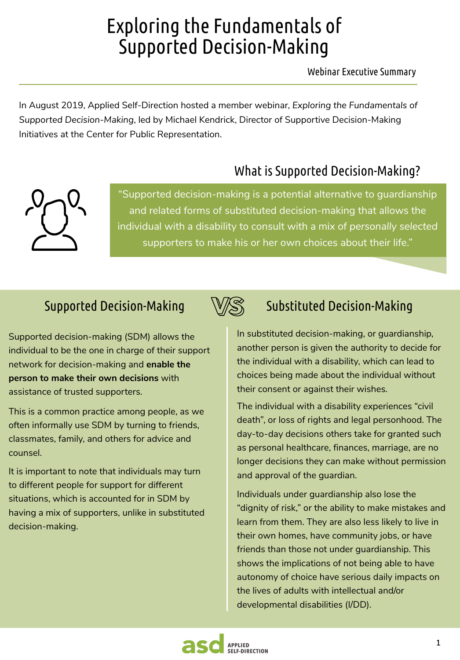# Exploring the Fundamentals of Supported Decision-Making

Webinar Executive Summary

In August 2019, Applied Self-Direction hosted a member webinar, *Exploring the Fundamentals of Supported Decision-Making*, led by Michael Kendrick, Director of Supportive Decision-Making Initiatives at the Center for Public Representation.

# What is Supported Decision-Making?



"Supported decision-making is a potential alternative to guardianship and related forms of substituted decision-making that allows the individual with a disability to consult with a mix of *personally selected* supporters to make his or her own choices about their life."

# Supported Decision-Making

Supported decision-making (SDM) allows the individual to be the one in charge of their support network for decision-making and **enable the person to make their own decisions** with assistance of trusted supporters.

This is a common practice among people, as we often informally use SDM by turning to friends, classmates, family, and others for advice and counsel.

It is important to note that individuals may turn to different people for support for different situations, which is accounted for in SDM by having a mix of supporters, unlike in substituted decision-making.



In substituted decision-making, or guardianship, another person is given the authority to decide for the individual with a disability, which can lead to choices being made about the individual without their consent or against their wishes.

The individual with a disability experiences "civil death", or loss of rights and legal personhood. The day-to-day decisions others take for granted such as personal healthcare, finances, marriage, are no longer decisions they can make without permission and approval of the guardian.

Individuals under guardianship also lose the "dignity of risk," or the ability to make mistakes and learn from them. They are also less likely to live in their own homes, have community jobs, or have friends than those not under guardianship. This shows the implications of not being able to have autonomy of choice have serious daily impacts on the lives of adults with intellectual and/or developmental disabilities (I/DD).

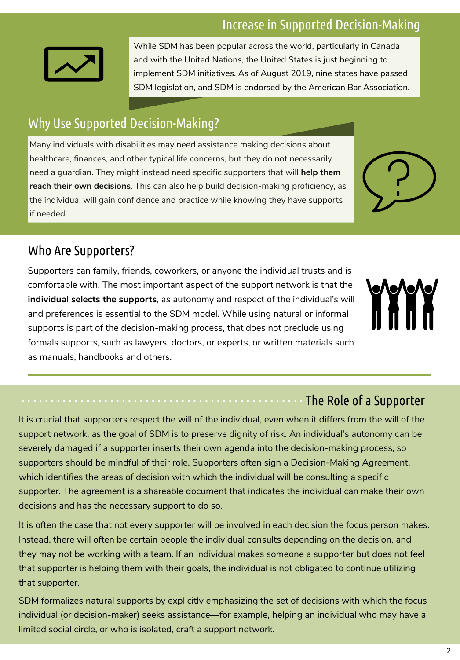#### Increase in Supported Decision-Making



While SDM has been popular across the world, particularly in Canada and with the United Nations, the United States is just beginning to implement SDM initiatives. As of August 2019, nine states have passed SDM legislation, and SDM is endorsed by the American Bar Association.

# Why Use Supported Decision-Making?

Many individuals with disabilities may need assistance making decisions about healthcare, finances, and other typical life concerns, but they do not necessarily need a guardian. They might instead need specific supporters that will **help them reach their own decisions**. This can also help build decision-making proficiency, as the individual will gain confidence and practice while knowing they have supports if needed.



#### Who Are Supporters?

Supporters can family, friends, coworkers, or anyone the individual trusts and is comfortable with. The most important aspect of the support network is that the **individual selects the supports**, as autonomy and respect of the individual's will and preferences is essential to the SDM model. While using natural or informal supports is part of the decision-making process, that does not preclude using formals supports, such as lawyers, doctors, or experts, or written materials such as manuals, handbooks and others.



#### The Role of a Supporter

It is crucial that supporters respect the will of the individual, even when it differs from the will of the support network, as the goal of SDM is to preserve dignity of risk. An individual's autonomy can be severely damaged if a supporter inserts their own agenda into the decision-making process, so supporters should be mindful of their role. Supporters often sign a Decision-Making Agreement, which identifies the areas of decision with which the individual will be consulting a specific supporter. The agreement is a shareable document that indicates the individual can make their own decisions and has the necessary support to do so.

It is often the case that not every supporter will be involved in each decision the focus person makes. Instead, there will often be certain people the individual consults depending on the decision, and they may not be working with a team. If an individual makes someone a supporter but does not feel that supporter is helping them with their goals, the individual is not obligated to continue utilizing that supporter.

SDM formalizes natural supports by explicitly emphasizing the set of decisions with which the focus individual (or decision-maker) seeks assistance—for example, helping an individual who may have a limited social circle, or who is isolated, craft a support network.